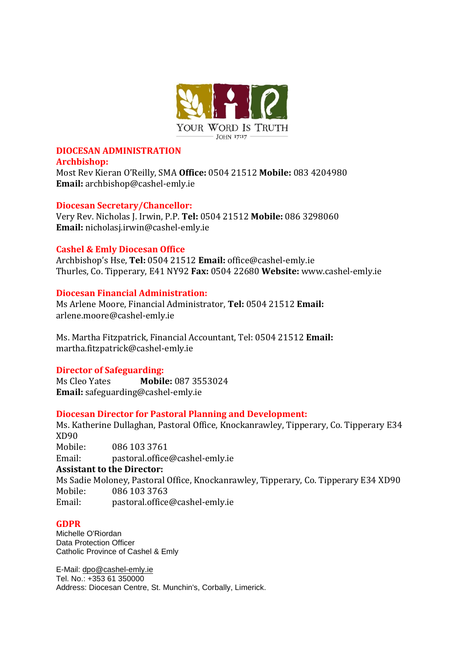

# **DIOCESAN ADMINISTRATION**

#### **Archbishop:**

Most Rev Kieran O'Reilly, SMA **Office:** 0504 21512 **Mobile:** 083 4204980 **Email:** archbishop@cashel-emly.ie

## **Diocesan Secretary/Chancellor:**

Very Rev. Nicholas J. Irwin, P.P. **Tel:** 0504 21512 **Mobile:** 086 3298060 **Email:** nicholasj.irwin@cashel-emly.ie

## **Cashel & Emly Diocesan Office**

Archbishop's Hse, **Tel:** 0504 21512 **Email:** office@cashel-emly.ie Thurles, Co. Tipperary, E41 NY92 **Fax:** 0504 22680 **Website:** www.cashel-emly.ie

## **Diocesan Financial Administration:**

Ms Arlene Moore, Financial Administrator, **Tel:** 0504 21512 **Email:**  arlene.moore@cashel-emly.ie

Ms. Martha Fitzpatrick, Financial Accountant, Tel: 0504 21512 **Email:** martha.fitzpatrick@cashel-emly.ie

## **Director of Safeguarding:**

Ms Cleo Yates **Mobile:** 087 3553024 **Email:** safeguarding@cashel-emly.ie

## **Diocesan Director for Pastoral Planning and Development:**

Ms. Katherine Dullaghan, Pastoral Office, Knockanrawley, Tipperary, Co. Tipperary E34 XD90 Mobile: 086 103 3761

Email: pastoral.office@cashel-emly.ie

## **Assistant to the Director:**

Ms Sadie Moloney, Pastoral Office, Knockanrawley, Tipperary, Co. Tipperary E34 XD90 Mobile: 086 103 3763 Email: pastoral.office@cashel-emly.ie

## **GDPR**

Michelle O'Riordan Data Protection Officer Catholic Province of Cashel & Emly

E-Mail: [dpo@cashel-emly.ie](mailto:dpo@cashel-emly.ie) Tel. No.: +353 61 350000 Address: Diocesan Centre, St. Munchin's, Corbally, Limerick.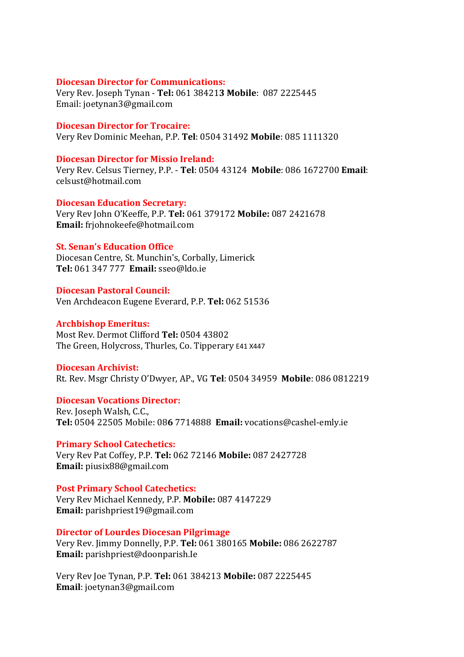#### **Diocesan Director for Communications:**

Very Rev. Joseph Tynan - **Tel:** 061 38421**3 Mobile**: 087 2225445 Email: joetynan3@gmail.com

### **Diocesan Director for Trocaire:**

Very Rev Dominic Meehan, P.P. **Tel**: 0504 31492 **Mobile**: 085 1111320

#### **Diocesan Director for Missio Ireland:**

Very Rev. Celsus Tierney, P.P. - **Tel**: 0504 43124 **Mobile**: 086 1672700 **Email**: celsust@hotmail.com

#### **Diocesan Education Secretary:**

Very Rev John O'Keeffe, P.P. **Tel:** 061 379172 **Mobile:** 087 2421678 **Email:** frjohnokeefe@hotmail.com

## **St. Senan's Education Office**

Diocesan Centre, St. Munchin's, Corbally, Limerick **Tel:** 061 347 777 **Email:** sseo@ldo.ie

## **Diocesan Pastoral Council:**

Ven Archdeacon Eugene Everard, P.P. **Tel:** 062 51536

## **Archbishop Emeritus:**

Most Rev. Dermot Clifford **Tel:** 0504 43802 The Green, Holycross, Thurles, Co. Tipperary E41 X447

#### **Diocesan Archivist:**

Rt. Rev. Msgr Christy O'Dwyer, AP., VG **Tel**: 0504 34959 **Mobile**: 086 0812219

#### **Diocesan Vocations Director:**

Rev. Joseph Walsh, C.C., **Tel:** 0504 22505 Mobile: 08**6** 7714888 **Email:** vocations@cashel-emly.ie

## **Primary School Catechetics:**

Very Rev Pat Coffey, P.P. **Tel:** 062 72146 **Mobile:** 087 2427728 **Email:** piusix88@gmail.com

#### **Post Primary School Catechetics:**

Very Rev Michael Kennedy, P.P. **Mobile:** 087 4147229 **Email:** parishpriest19@gmail.com

#### **Director of Lourdes Diocesan Pilgrimage**

Very Rev. Jimmy Donnelly, P.P. **Tel:** 061 380165 **Mobile:** 086 2622787 **Email:** parishpriest@doonparish.Ie

Very Rev Joe Tynan, P.P. **Tel:** 061 384213 **Mobile:** 087 2225445 **Email**: joetynan3@gmail.com